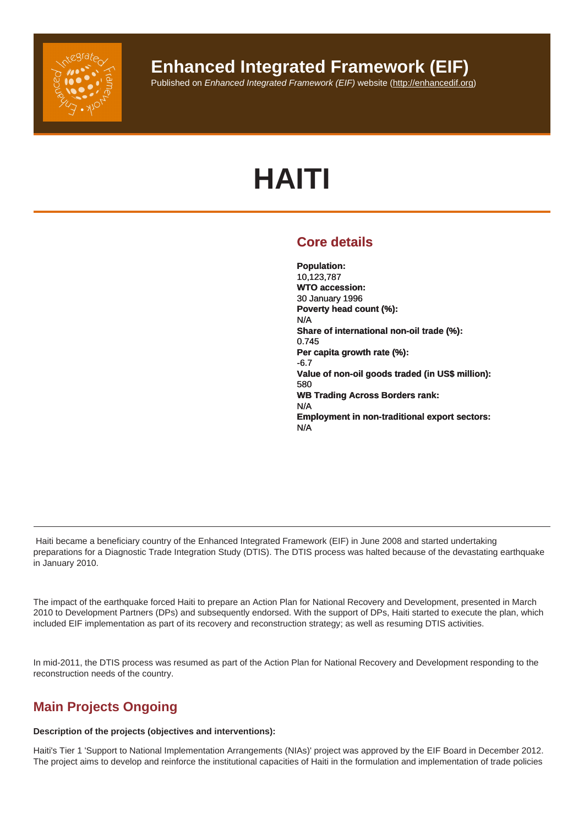## Enhanced Integrated Framework (EIF)

Published on Enhanced Integrated Framework (EIF) website (http://enhancedif.org)

# HAITI

## Core details

Population: 10,123,787 WTO accession: 30 January 1996 Poverty head count (%): N/A Share of international non-oil trade (%): 0.745 Per capita growth rate (%): -6.7 Value of non-oil goods traded (in US\$ million): 580 WB Trading Across Borders rank: N/A Employment in non-traditional export sectors: N/A

 Haiti became a beneficiary country of the Enhanced Integrated Framework (EIF) in June 2008 and started undertaking preparations for a Diagnostic Trade Integration Study (DTIS). The DTIS process was halted because of the devastating earthquake in January 2010.

The impact of the earthquake forced Haiti to prepare an Action Plan for National Recovery and Development, presented in March 2010 to Development Partners (DPs) and subsequently endorsed. With the support of DPs, Haiti started to execute the plan, which included EIF implementation as part of its recovery and reconstruction strategy; as well as resuming DTIS activities.

In mid-2011, the DTIS process was resumed as part of the Action Plan for National Recovery and Development responding to the reconstruction needs of the country.

## Main Projects Ongoing

Description of the projects (objectives and interventions):

Haiti's Tier 1 'Support to National Implementation Arrangements (NIAs)' project was approved by the EIF Board in December 2012. The project aims to develop and reinforce the institutional capacities of Haiti in the formulation and implementation of trade policies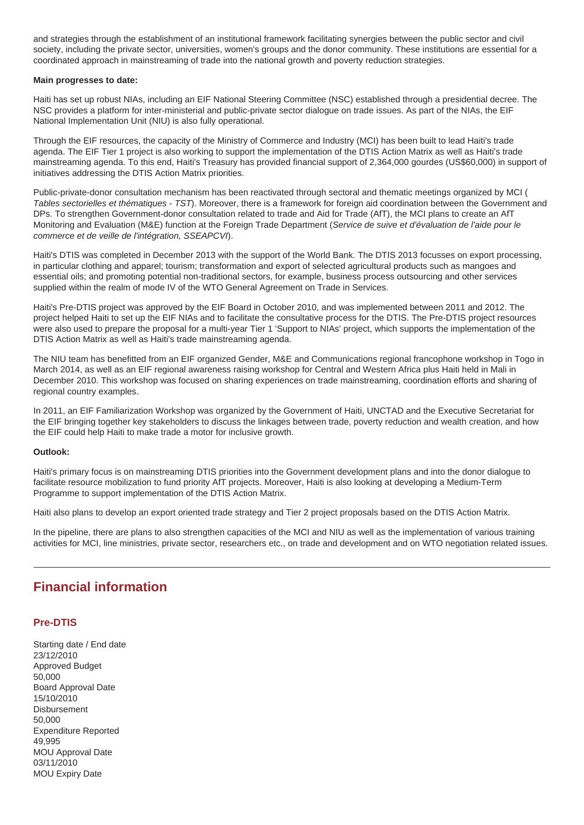and strategies through the establishment of an institutional framework facilitating synergies between the public sector and civil society, including the private sector, universities, women's groups and the donor community. These institutions are essential for a coordinated approach in mainstreaming of trade into the national growth and poverty reduction strategies.

#### **Main progresses to date:**

Haiti has set up robust NIAs, including an EIF National Steering Committee (NSC) established through a presidential decree. The NSC provides a platform for inter-ministerial and public-private sector dialogue on trade issues. As part of the NIAs, the EIF National Implementation Unit (NIU) is also fully operational.

Through the EIF resources, the capacity of the Ministry of Commerce and Industry (MCI) has been built to lead Haiti's trade agenda. The EIF Tier 1 project is also working to support the implementation of the DTIS Action Matrix as well as Haiti's trade mainstreaming agenda. To this end, Haiti's Treasury has provided financial support of 2,364,000 gourdes (US\$60,000) in support of initiatives addressing the DTIS Action Matrix priorities.

Public-private-donor consultation mechanism has been reactivated through sectoral and thematic meetings organized by MCI ( Tables sectorielles et thématiques - TST). Moreover, there is a framework for foreign aid coordination between the Government and DPs. To strengthen Government-donor consultation related to trade and Aid for Trade (AfT), the MCI plans to create an AfT Monitoring and Evaluation (M&E) function at the Foreign Trade Department (Service de suive et d'évaluation de l'aide pour le commerce et de veille de l'intégration, SSEAPCVI).

Haiti's DTIS was completed in December 2013 with the support of the World Bank. The DTIS 2013 focusses on export processing, in particular clothing and apparel; tourism; transformation and export of selected agricultural products such as mangoes and essential oils; and promoting potential non-traditional sectors, for example, business process outsourcing and other services supplied within the realm of mode IV of the WTO General Agreement on Trade in Services.

Haiti's Pre-DTIS project was approved by the EIF Board in October 2010, and was implemented between 2011 and 2012. The project helped Haiti to set up the EIF NIAs and to facilitate the consultative process for the DTIS. The Pre-DTIS project resources were also used to prepare the proposal for a multi-year Tier 1 'Support to NIAs' project, which supports the implementation of the DTIS Action Matrix as well as Haiti's trade mainstreaming agenda.

The NIU team has benefitted from an EIF organized Gender, M&E and Communications regional francophone workshop in Togo in March 2014, as well as an EIF regional awareness raising workshop for Central and Western Africa plus Haiti held in Mali in December 2010. This workshop was focused on sharing experiences on trade mainstreaming, coordination efforts and sharing of regional country examples.

In 2011, an EIF Familiarization Workshop was organized by the Government of Haiti, UNCTAD and the Executive Secretariat for the EIF bringing together key stakeholders to discuss the linkages between trade, poverty reduction and wealth creation, and how the EIF could help Haiti to make trade a motor for inclusive growth.

#### **Outlook:**

Haiti's primary focus is on mainstreaming DTIS priorities into the Government development plans and into the donor dialogue to facilitate resource mobilization to fund priority AfT projects. Moreover, Haiti is also looking at developing a Medium-Term Programme to support implementation of the DTIS Action Matrix.

Haiti also plans to develop an export oriented trade strategy and Tier 2 project proposals based on the DTIS Action Matrix.

In the pipeline, there are plans to also strengthen capacities of the MCI and NIU as well as the implementation of various training activities for MCI, line ministries, private sector, researchers etc., on trade and development and on WTO negotiation related issues.

## **Financial information**

#### **Pre-DTIS**

Starting date / End date 23/12/2010 Approved Budget 50,000 Board Approval Date 15/10/2010 **Disbursement** 50,000 Expenditure Reported 49,995 MOU Approval Date 03/11/2010 MOU Expiry Date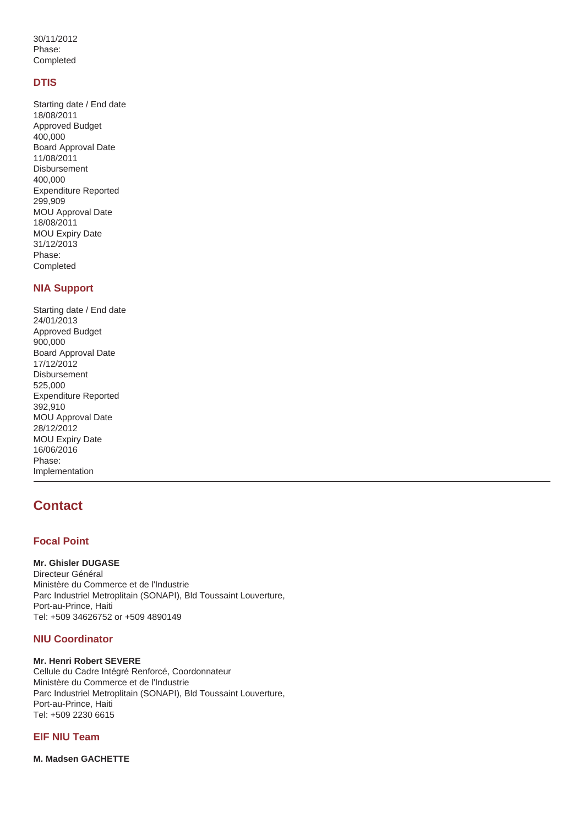30/11/2012 Phase: Completed

#### **DTIS**

Starting date / End date 18/08/2011 Approved Budget 400,000 Board Approval Date 11/08/2011 Disbursement 400,000 Expenditure Reported 299,909 MOU Approval Date 18/08/2011 MOU Expiry Date 31/12/2013 Phase: Completed

#### **NIA Support**

Starting date / End date 24/01/2013 Approved Budget 900,000 Board Approval Date 17/12/2012 Disbursement 525,000 Expenditure Reported 392,910 MOU Approval Date 28/12/2012 MOU Expiry Date 16/06/2016 Phase: Implementation

## **Contact**

#### **Focal Point**

**Mr. Ghisler DUGASE** Directeur Général Ministère du Commerce et de l'Industrie Parc Industriel Metroplitain (SONAPI), Bld Toussaint Louverture, Port-au-Prince, Haiti Tel: +509 34626752 or +509 4890149

#### **NIU Coordinator**

#### **Mr. Henri Robert SEVERE**

Cellule du Cadre Intégré Renforcé, Coordonnateur Ministère du Commerce et de l'Industrie Parc Industriel Metroplitain (SONAPI), Bld Toussaint Louverture, Port-au-Prince, Haiti Tel: +509 2230 6615

#### **EIF NIU Team**

**M. Madsen GACHETTE**